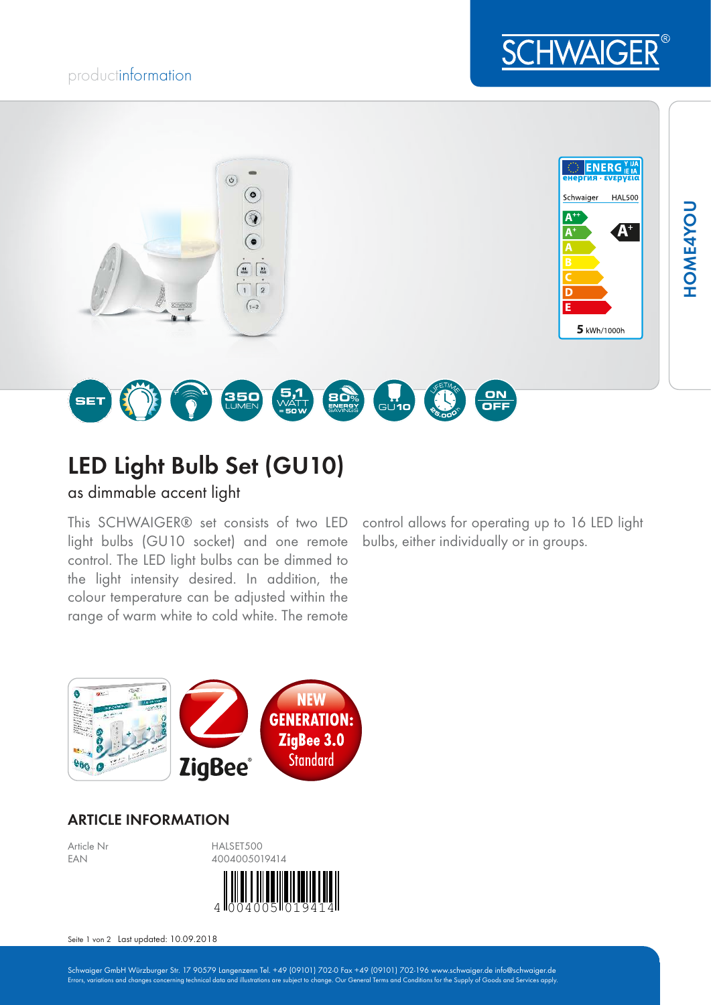## productinformation





# LED Light Bulb Set (GU10)

as dimmable accent light

This SCHWAIGER® set consists of two LED light bulbs (GU10 socket) and one remote control. The LED light bulbs can be dimmed to the light intensity desired. In addition, the colour temperature can be adjusted within the range of warm white to cold white. The remote

control allows for operating up to 16 LED light bulbs, either individually or in groups.



### ARTICLE INFORMATION



Seite 1 von 2 Last updated: 10.09.2018